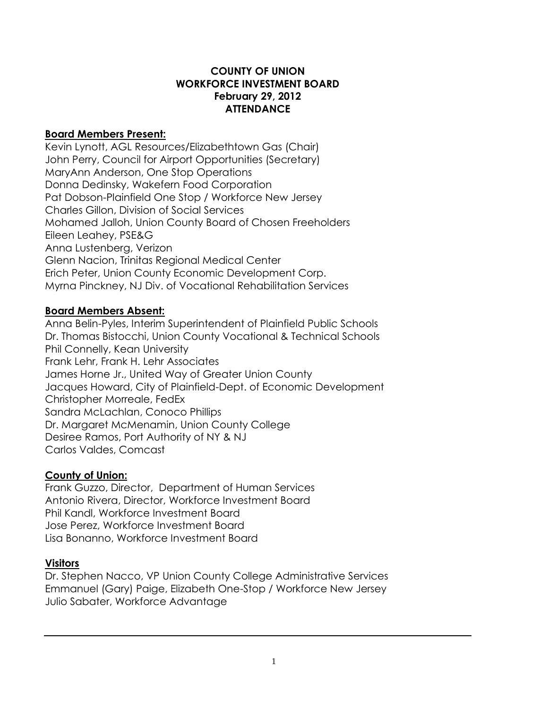### **COUNTY OF UNION WORKFORCE INVESTMENT BOARD February 29, 2012 ATTENDANCE**

### **Board Members Present:**

Kevin Lynott, AGL Resources/Elizabethtown Gas (Chair) John Perry, Council for Airport Opportunities (Secretary) MaryAnn Anderson, One Stop Operations Donna Dedinsky, Wakefern Food Corporation Pat Dobson-Plainfield One Stop / Workforce New Jersey Charles Gillon, Division of Social Services Mohamed Jalloh, Union County Board of Chosen Freeholders Eileen Leahey, PSE&G Anna Lustenberg, Verizon Glenn Nacion, Trinitas Regional Medical Center Erich Peter, Union County Economic Development Corp. Myrna Pinckney, NJ Div. of Vocational Rehabilitation Services

# **Board Members Absent:**

Anna Belin-Pyles, Interim Superintendent of Plainfield Public Schools Dr. Thomas Bistocchi, Union County Vocational & Technical Schools Phil Connelly, Kean University Frank Lehr, Frank H. Lehr Associates James Horne Jr., United Way of Greater Union County Jacques Howard, City of Plainfield-Dept. of Economic Development Christopher Morreale, FedEx Sandra McLachlan, Conoco Phillips Dr. Margaret McMenamin, Union County College Desiree Ramos, Port Authority of NY & NJ Carlos Valdes, Comcast

# **County of Union:**

Frank Guzzo, Director, Department of Human Services Antonio Rivera, Director, Workforce Investment Board Phil Kandl, Workforce Investment Board Jose Perez, Workforce Investment Board Lisa Bonanno, Workforce Investment Board

# **Visitors**

Dr. Stephen Nacco, VP Union County College Administrative Services Emmanuel (Gary) Paige, Elizabeth One-Stop / Workforce New Jersey Julio Sabater, Workforce Advantage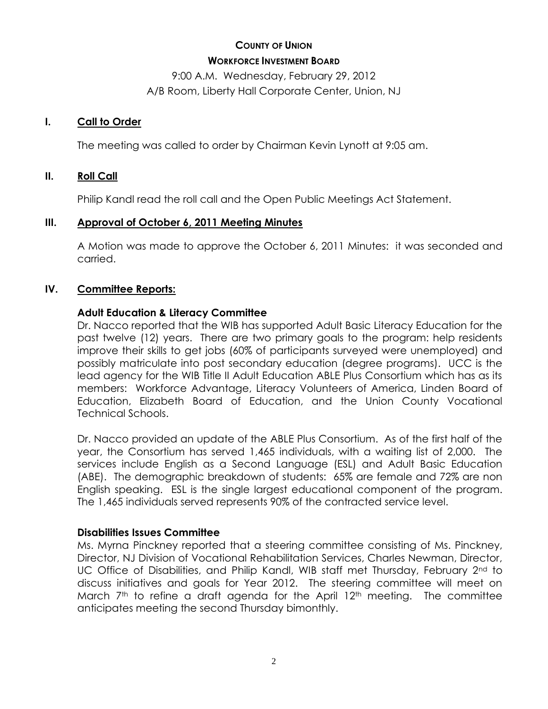# **COUNTY OF UNION WORKFORCE INVESTMENT BOARD**

9:00 A.M. Wednesday, February 29, 2012 A/B Room, Liberty Hall Corporate Center, Union, NJ

### **I. Call to Order**

The meeting was called to order by Chairman Kevin Lynott at 9:05 am.

# **II. Roll Call**

Philip Kandl read the roll call and the Open Public Meetings Act Statement.

# **III. Approval of October 6, 2011 Meeting Minutes**

A Motion was made to approve the October 6, 2011 Minutes: it was seconded and carried.

# **IV. Committee Reports:**

# **Adult Education & Literacy Committee**

Dr. Nacco reported that the WIB has supported Adult Basic Literacy Education for the past twelve (12) years. There are two primary goals to the program: help residents improve their skills to get jobs (60% of participants surveyed were unemployed) and possibly matriculate into post secondary education (degree programs). UCC is the lead agency for the WIB Title II Adult Education ABLE Plus Consortium which has as its members: Workforce Advantage, Literacy Volunteers of America, Linden Board of Education, Elizabeth Board of Education, and the Union County Vocational Technical Schools.

Dr. Nacco provided an update of the ABLE Plus Consortium. As of the first half of the year, the Consortium has served 1,465 individuals, with a waiting list of 2,000. The services include English as a Second Language (ESL) and Adult Basic Education (ABE). The demographic breakdown of students: 65% are female and 72% are non English speaking. ESL is the single largest educational component of the program. The 1,465 individuals served represents 90% of the contracted service level.

# **Disabilities Issues Committee**

Ms. Myrna Pinckney reported that a steering committee consisting of Ms. Pinckney, Director, NJ Division of Vocational Rehabilitation Services, Charles Newman, Director, UC Office of Disabilities, and Philip Kandl, WIB staff met Thursday, February 2<sup>nd</sup> to discuss initiatives and goals for Year 2012. The steering committee will meet on March  $7<sup>th</sup>$  to refine a draft agenda for the April 12<sup>th</sup> meeting. The committee anticipates meeting the second Thursday bimonthly.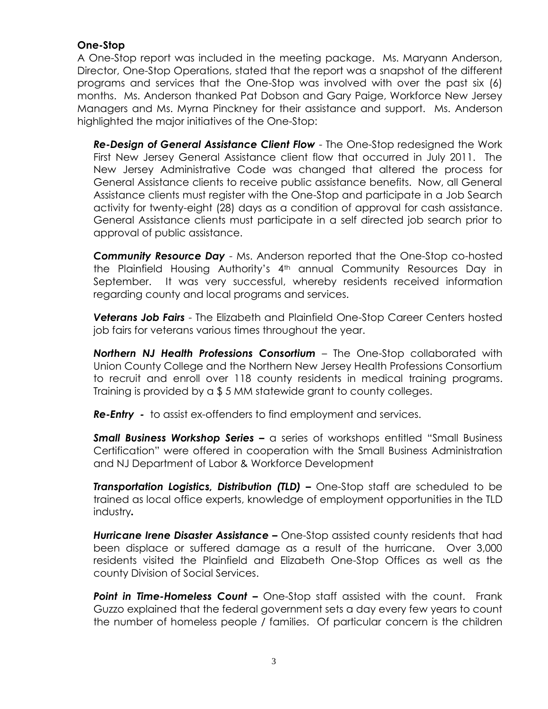### **One-Stop**

A One-Stop report was included in the meeting package. Ms. Maryann Anderson, Director, One-Stop Operations, stated that the report was a snapshot of the different programs and services that the One-Stop was involved with over the past six (6) months. Ms. Anderson thanked Pat Dobson and Gary Paige, Workforce New Jersey Managers and Ms. Myrna Pinckney for their assistance and support. Ms. Anderson highlighted the major initiatives of the One-Stop:

*Re-Design of General Assistance Client Flow* - The One-Stop redesigned the Work First New Jersey General Assistance client flow that occurred in July 2011. The New Jersey Administrative Code was changed that altered the process for General Assistance clients to receive public assistance benefits. Now, all General Assistance clients must register with the One-Stop and participate in a Job Search activity for twenty-eight (28) days as a condition of approval for cash assistance. General Assistance clients must participate in a self directed job search prior to approval of public assistance.

*Community Resource Day* - Ms. Anderson reported that the One-Stop co-hosted the Plainfield Housing Authority's 4th annual Community Resources Day in September. It was very successful, whereby residents received information regarding county and local programs and services.

*Veterans Job Fairs* - The Elizabeth and Plainfield One-Stop Career Centers hosted job fairs for veterans various times throughout the year.

*Northern NJ Health Professions Consortium* – The One-Stop collaborated with Union County College and the Northern New Jersey Health Professions Consortium to recruit and enroll over 118 county residents in medical training programs. Training is provided by a \$ 5 MM statewide grant to county colleges.

*Re-Entry -* to assist ex-offenders to find employment and services.

**Small Business Workshop Series –** a series of workshops entitled "Small Business Certification" were offered in cooperation with the Small Business Administration and NJ Department of Labor & Workforce Development

**Transportation Logistics, Distribution (TLD) -** One-Stop staff are scheduled to be trained as local office experts, knowledge of employment opportunities in the TLD industry*.*

*Hurricane Irene Disaster Assistance –* One-Stop assisted county residents that had been displace or suffered damage as a result of the hurricane. Over 3,000 residents visited the Plainfield and Elizabeth One-Stop Offices as well as the county Division of Social Services.

**Point in Time-Homeless Count –** One-Stop staff assisted with the count. Frank Guzzo explained that the federal government sets a day every few years to count the number of homeless people / families. Of particular concern is the children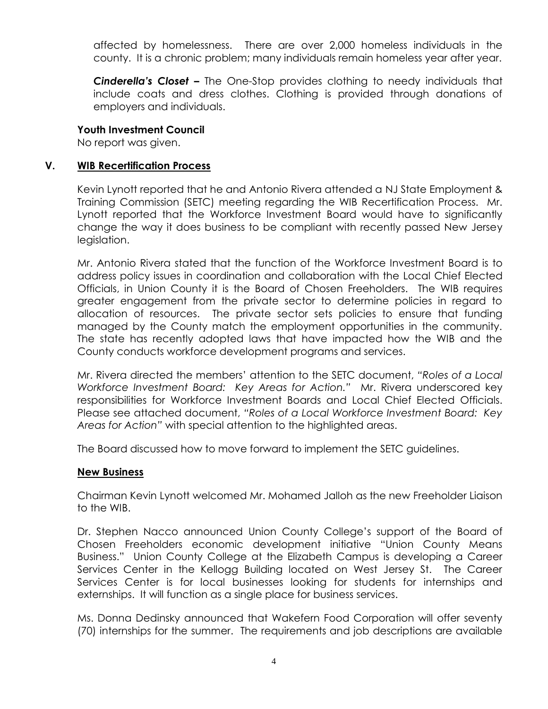affected by homelessness. There are over 2,000 homeless individuals in the county. It is a chronic problem; many individuals remain homeless year after year.

*Cinderella's Closet –* The One-Stop provides clothing to needy individuals that include coats and dress clothes. Clothing is provided through donations of employers and individuals.

#### **Youth Investment Council**

No report was given.

### **V. WIB Recertification Process**

Kevin Lynott reported that he and Antonio Rivera attended a NJ State Employment & Training Commission (SETC) meeting regarding the WIB Recertification Process. Mr. Lynott reported that the Workforce Investment Board would have to significantly change the way it does business to be compliant with recently passed New Jersey legislation.

Mr. Antonio Rivera stated that the function of the Workforce Investment Board is to address policy issues in coordination and collaboration with the Local Chief Elected Officials, in Union County it is the Board of Chosen Freeholders. The WIB requires greater engagement from the private sector to determine policies in regard to allocation of resources. The private sector sets policies to ensure that funding managed by the County match the employment opportunities in the community. The state has recently adopted laws that have impacted how the WIB and the County conducts workforce development programs and services.

Mr. Rivera directed the members' attention to the SETC document, *"Roles of a Local Workforce Investment Board: Key Areas for Action."* Mr. Rivera underscored key responsibilities for Workforce Investment Boards and Local Chief Elected Officials. Please see attached document, *"Roles of a Local Workforce Investment Board: Key Areas for Action"* with special attention to the highlighted areas.

The Board discussed how to move forward to implement the SETC guidelines.

#### **New Business**

Chairman Kevin Lynott welcomed Mr. Mohamed Jalloh as the new Freeholder Liaison to the WIB.

Dr. Stephen Nacco announced Union County College's support of the Board of Chosen Freeholders economic development initiative "Union County Means Business." Union County College at the Elizabeth Campus is developing a Career Services Center in the Kellogg Building located on West Jersey St. The Career Services Center is for local businesses looking for students for internships and externships. It will function as a single place for business services.

Ms. Donna Dedinsky announced that Wakefern Food Corporation will offer seventy (70) internships for the summer. The requirements and job descriptions are available